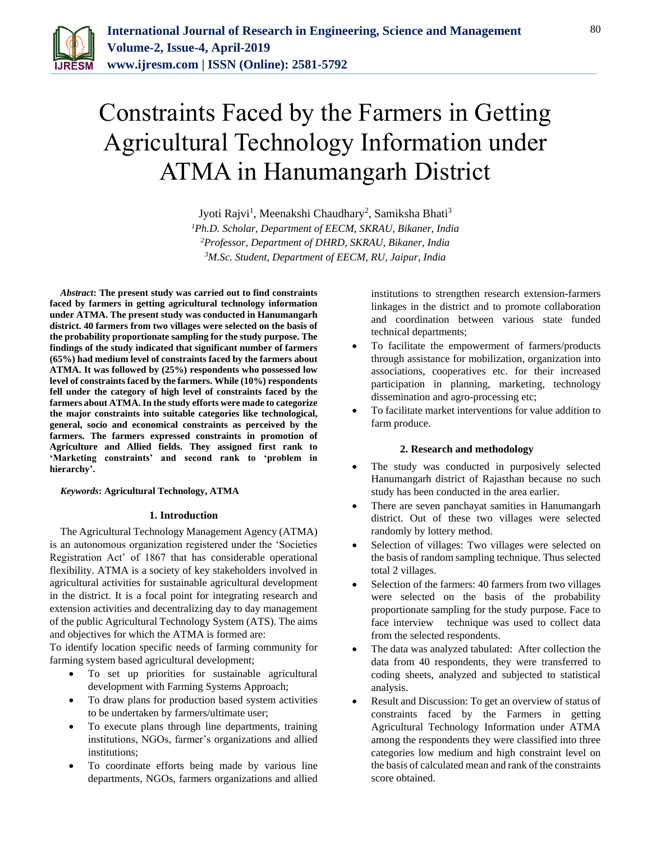

# Constraints Faced by the Farmers in Getting Agricultural Technology Information under ATMA in Hanumangarh District

Jyoti Rajvi<sup>1</sup>, Meenakshi Chaudhary<sup>2</sup>, Samiksha Bhati<sup>3</sup> *Ph.D. Scholar, Department of EECM, SKRAU, Bikaner, India Professor, Department of DHRD, SKRAU, Bikaner, India M.Sc. Student, Department of EECM, RU, Jaipur, India*

*Abstract***: The present study was carried out to find constraints faced by farmers in getting agricultural technology information under ATMA. The present study was conducted in Hanumangarh district. 40 farmers from two villages were selected on the basis of the probability proportionate sampling for the study purpose. The findings of the study indicated that significant number of farmers (65%) had medium level of constraints faced by the farmers about ATMA. It was followed by (25%) respondents who possessed low level of constraints faced by the farmers. While (10%) respondents fell under the category of high level of constraints faced by the farmers about ATMA. In the study efforts were made to categorize the major constraints into suitable categories like technological, general, socio and economical constraints as perceived by the farmers. The farmers expressed constraints in promotion of Agriculture and Allied fields. They assigned first rank to 'Marketing constraints' and second rank to 'problem in hierarchy'.**

*Keywords***: Agricultural Technology, ATMA**

### **1. Introduction**

The Agricultural Technology Management Agency (ATMA) is an autonomous organization registered under the 'Societies Registration Act' of 1867 that has considerable operational flexibility. ATMA is a society of key stakeholders involved in agricultural activities for sustainable agricultural development in the district. It is a focal point for integrating research and extension activities and decentralizing day to day management of the public Agricultural Technology System (ATS). The aims and objectives for which the ATMA is formed are:

To identify location specific needs of farming community for farming system based agricultural development;

- To set up priorities for sustainable agricultural development with Farming Systems Approach;
- To draw plans for production based system activities to be undertaken by farmers/ultimate user;
- To execute plans through line departments, training institutions, NGOs, farmer's organizations and allied institutions;
- To coordinate efforts being made by various line departments, NGOs, farmers organizations and allied

institutions to strengthen research extension-farmers linkages in the district and to promote collaboration and coordination between various state funded technical departments;

- To facilitate the empowerment of farmers/products through assistance for mobilization, organization into associations, cooperatives etc. for their increased participation in planning, marketing, technology dissemination and agro-processing etc;
- To facilitate market interventions for value addition to farm produce.

### **2. Research and methodology**

- The study was conducted in purposively selected Hanumangarh district of Rajasthan because no such study has been conducted in the area earlier.
- There are seven panchayat samities in Hanumangarh district. Out of these two villages were selected randomly by lottery method.
- Selection of villages: Two villages were selected on the basis of random sampling technique. Thus selected total 2 villages.
- Selection of the farmers: 40 farmers from two villages were selected on the basis of the probability proportionate sampling for the study purpose. Face to face interview technique was used to collect data from the selected respondents.
- The data was analyzed tabulated: After collection the data from 40 respondents, they were transferred to coding sheets, analyzed and subjected to statistical analysis.
- Result and Discussion: To get an overview of status of constraints faced by the Farmers in getting Agricultural Technology Information under ATMA among the respondents they were classified into three categories low medium and high constraint level on the basis of calculated mean and rank of the constraints score obtained.